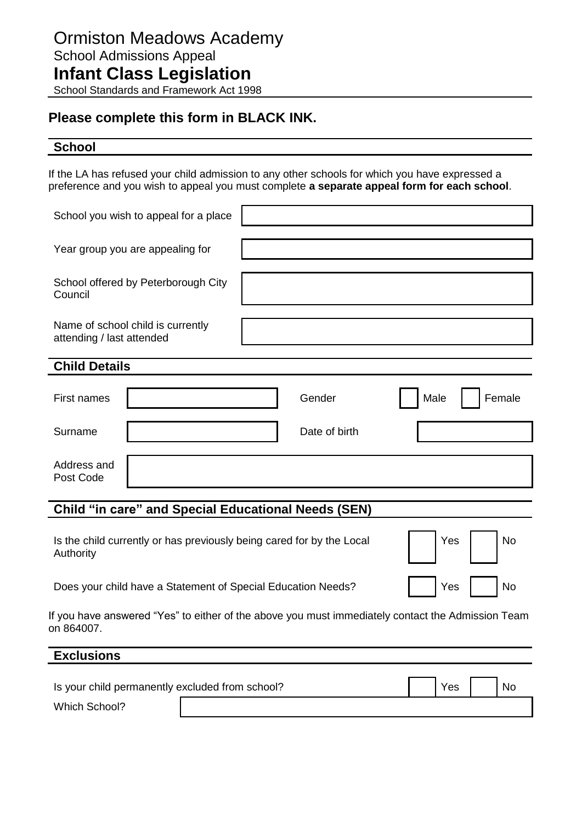# **Please complete this form in BLACK INK.**

# **School**

If the LA has refused your child admission to any other schools for which you have expressed a preference and you wish to appeal you must complete **a separate appeal form for each school**.

| School you wish to appeal for a place                                                                           |  |  |               |           |           |  |  |        |
|-----------------------------------------------------------------------------------------------------------------|--|--|---------------|-----------|-----------|--|--|--------|
|                                                                                                                 |  |  |               |           |           |  |  |        |
| Year group you are appealing for                                                                                |  |  |               |           |           |  |  |        |
|                                                                                                                 |  |  |               |           |           |  |  |        |
| School offered by Peterborough City<br>Council                                                                  |  |  |               |           |           |  |  |        |
|                                                                                                                 |  |  |               |           |           |  |  |        |
| Name of school child is currently<br>attending / last attended                                                  |  |  |               |           |           |  |  |        |
|                                                                                                                 |  |  |               |           |           |  |  |        |
| <b>Child Details</b>                                                                                            |  |  |               |           |           |  |  |        |
|                                                                                                                 |  |  |               |           |           |  |  |        |
| First names                                                                                                     |  |  | Gender        |           | Male      |  |  | Female |
|                                                                                                                 |  |  |               |           |           |  |  |        |
| Surname                                                                                                         |  |  | Date of birth |           |           |  |  |        |
|                                                                                                                 |  |  |               |           |           |  |  |        |
| Address and                                                                                                     |  |  |               |           |           |  |  |        |
| Post Code                                                                                                       |  |  |               |           |           |  |  |        |
|                                                                                                                 |  |  |               |           |           |  |  |        |
| <b>Child "in care" and Special Educational Needs (SEN)</b>                                                      |  |  |               |           |           |  |  |        |
|                                                                                                                 |  |  |               |           |           |  |  |        |
| Is the child currently or has previously being cared for by the Local<br>Yes                                    |  |  |               | <b>No</b> |           |  |  |        |
| Authority                                                                                                       |  |  |               |           |           |  |  |        |
|                                                                                                                 |  |  |               |           |           |  |  |        |
| Yes                                                                                                             |  |  |               |           | <b>No</b> |  |  |        |
| Does your child have a Statement of Special Education Needs?                                                    |  |  |               |           |           |  |  |        |
| If you have answered "Yes" to either of the above you must immediately contact the Admission Team<br>on 864007. |  |  |               |           |           |  |  |        |
|                                                                                                                 |  |  |               |           |           |  |  |        |
| <b>Exclusions</b>                                                                                               |  |  |               |           |           |  |  |        |
|                                                                                                                 |  |  |               |           |           |  |  |        |
| Is your child permanently excluded from school?<br><b>No</b><br>Yes                                             |  |  |               |           |           |  |  |        |
|                                                                                                                 |  |  |               |           |           |  |  |        |

Which School?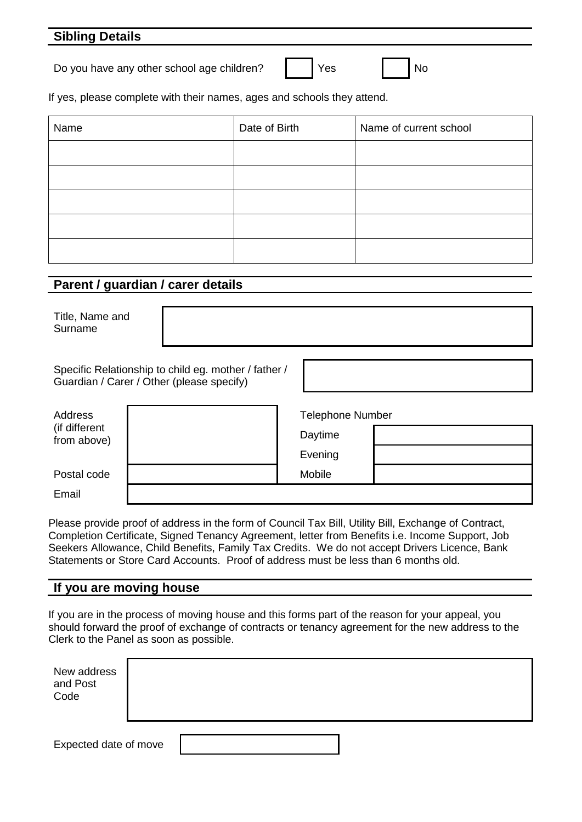## **Sibling Details**

Do you have any other school age children? | | Yes | | No

If yes, please complete with their names, ages and schools they attend.

| Name | Date of Birth | Name of current school |
|------|---------------|------------------------|
|      |               |                        |
|      |               |                        |
|      |               |                        |
|      |               |                        |
|      |               |                        |

#### **Parent / guardian / carer details**

Title, Name and Surname

Specific Relationship to child eg. mother / father / Guardian / Carer / Other (please specify)

| Address                      | <b>Telephone Number</b> |  |  |
|------------------------------|-------------------------|--|--|
| (if different<br>from above) | Daytime                 |  |  |
|                              | Evening                 |  |  |
| Postal code                  | Mobile                  |  |  |
| Email                        |                         |  |  |

Please provide proof of address in the form of Council Tax Bill, Utility Bill, Exchange of Contract, Completion Certificate, Signed Tenancy Agreement, letter from Benefits i.e. Income Support, Job Seekers Allowance, Child Benefits, Family Tax Credits. We do not accept Drivers Licence, Bank Statements or Store Card Accounts. Proof of address must be less than 6 months old.

#### **If you are moving house**

If you are in the process of moving house and this forms part of the reason for your appeal, you should forward the proof of exchange of contracts or tenancy agreement for the new address to the Clerk to the Panel as soon as possible.

| New address<br>and Post<br>Code |  |  |  |
|---------------------------------|--|--|--|
| Expected date of move           |  |  |  |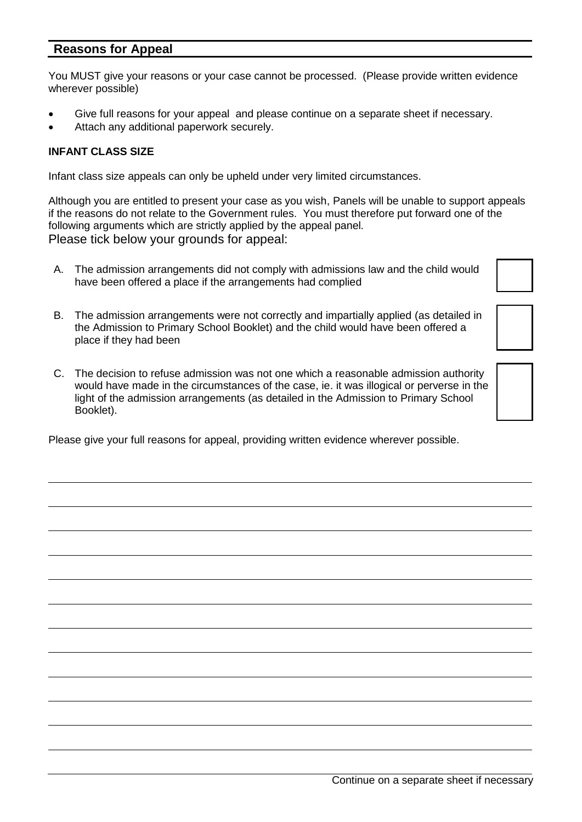## **Reasons for Appeal**

You MUST give your reasons or your case cannot be processed. (Please provide written evidence wherever possible)

- Give full reasons for your appeal and please continue on a separate sheet if necessary.
- Attach any additional paperwork securely.

#### **INFANT CLASS SIZE**

Infant class size appeals can only be upheld under very limited circumstances.

Although you are entitled to present your case as you wish, Panels will be unable to support appeals if the reasons do not relate to the Government rules. You must therefore put forward one of the following arguments which are strictly applied by the appeal panel. Please tick below your grounds for appeal:

- A. The admission arrangements did not comply with admissions law and the child would have been offered a place if the arrangements had complied
- B. The admission arrangements were not correctly and impartially applied (as detailed in the Admission to Primary School Booklet) and the child would have been offered a place if they had been
- C. The decision to refuse admission was not one which a reasonable admission authority would have made in the circumstances of the case, ie. it was illogical or perverse in the light of the admission arrangements (as detailed in the Admission to Primary School Booklet).

Please give your full reasons for appeal, providing written evidence wherever possible.